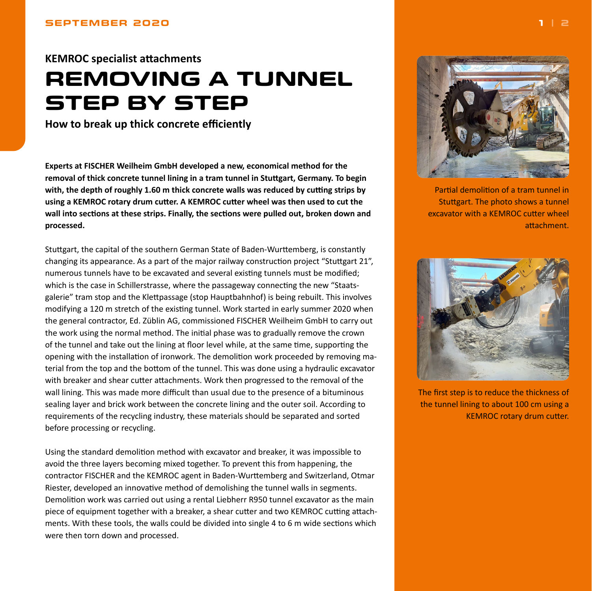## <span id="page-0-0"></span>**KEMROC specialist attachments REMOVING A TUNNEL STEP BY STEP**

**How to break up thick concrete efficiently**

**Experts at FISCHER Weilheim GmbH developed a new, economical method for the removal of thick concrete tunnel lining in a tram tunnel in Stuttgart, Germany. To begin with, the depth of roughly 1.60 m thick concrete walls was reduced by cutting strips by using a KEMROC rotary drum cutter. A KEMROC cutter wheel was then used to cut the wall into sections at these strips. Finally, the sections were pulled out, broken down and processed.**

Stuttgart, the capital of the southern German State of Baden-Wurttemberg, is constantly changing its appearance. As a part of the major railway construction project "Stuttgart 21", numerous tunnels have to be excavated and several existing tunnels must be modified; which is the case in Schillerstrasse, where the passageway connecting the new "Staatsgalerie" tram stop and the Klettpassage (stop Hauptbahnhof) is being rebuilt. This involves modifying a 120 m stretch of the existing tunnel. Work started in early summer 2020 when the general contractor, Ed. Züblin AG, commissioned FISCHER Weilheim GmbH to carry out the work using the normal method. The initial phase was to gradually remove the crown of the tunnel and take out the lining at floor level while, at the same time, supporting the opening with the installation of ironwork. The demolition work proceeded by removing material from the top and the bottom of the tunnel. This was done using a hydraulic excavator with breaker and shear cutter attachments. Work then progressed to the removal of the wall lining. This was made more difficult than usual due to the presence of a bituminous sealing layer and brick work between the concrete lining and the outer soil. According to requirements of the recycling industry, these materials should be separated and sorted before processing or recycling.

Using the standard demolition method with excavator and breaker, it was impossible to avoid the three layers becoming mixed together. To prevent this from happening, the contractor FISCHER and the KEMROC agent in Baden-Wurttemberg and Switzerland, Otmar Riester, developed an innovative method of demolishing the tunnel walls in segments. Demolition work was carried out using a rental Liebherr R950 tunnel excavator as the main piece of equipment together with a breaker, a shear cutter and two KEMROC cutting attachments. With these tools, the walls could be divided into single 4 to 6 m wide sections which were then torn down and processed.



Partial demolition of a tram tunnel in Stuttgart. The photo shows a tunnel excavator with a KEMROC cutter wheel attachment.



The first step is to reduce the thickness of the tunnel lining to about 100 cm using a KEMROC rotary drum cutter.